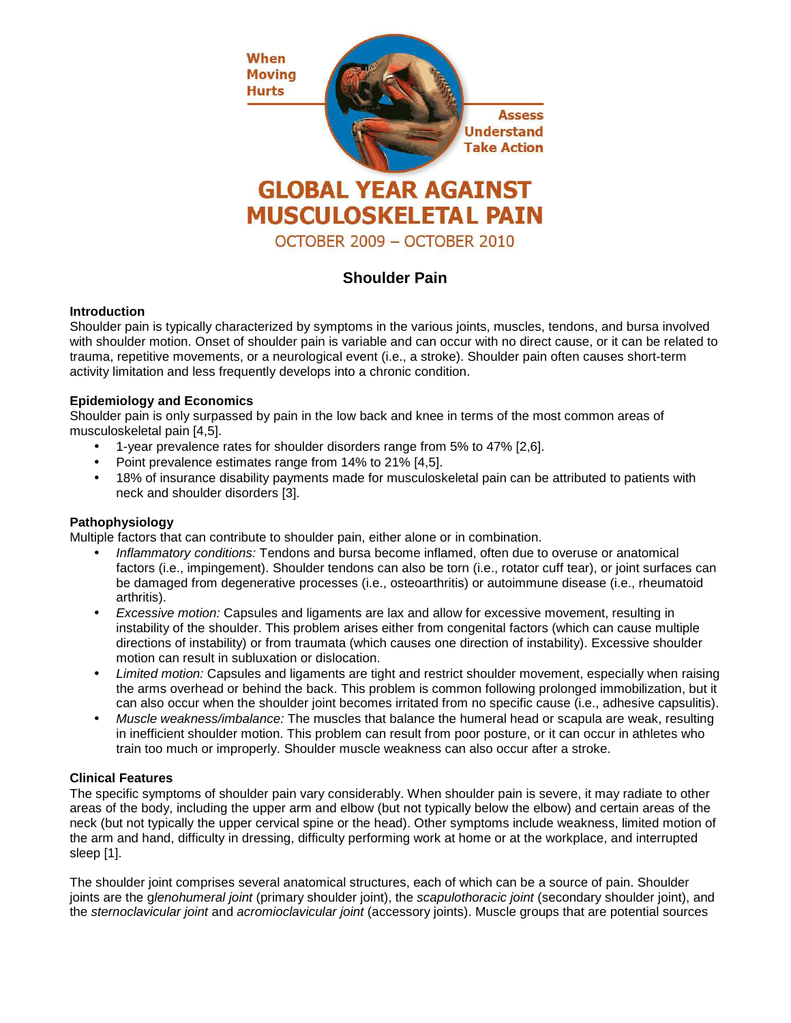

# **Shoulder Pain**

## **Introduction**

Shoulder pain is typically characterized by symptoms in the various joints, muscles, tendons, and bursa involved with shoulder motion. Onset of shoulder pain is variable and can occur with no direct cause, or it can be related to trauma, repetitive movements, or a neurological event (i.e., a stroke). Shoulder pain often causes short-term activity limitation and less frequently develops into a chronic condition.

## **Epidemiology and Economics**

Shoulder pain is only surpassed by pain in the low back and knee in terms of the most common areas of musculoskeletal pain [4,5].

- 1-year prevalence rates for shoulder disorders range from 5% to 47% [2,6].
- Point prevalence estimates range from 14% to 21% [4,5].
- 18% of insurance disability payments made for musculoskeletal pain can be attributed to patients with neck and shoulder disorders [3].

# **Pathophysiology**

Multiple factors that can contribute to shoulder pain, either alone or in combination.

- Inflammatory conditions: Tendons and bursa become inflamed, often due to overuse or anatomical factors (i.e., impingement). Shoulder tendons can also be torn (i.e., rotator cuff tear), or joint surfaces can be damaged from degenerative processes (i.e., osteoarthritis) or autoimmune disease (i.e., rheumatoid arthritis).
- Excessive motion: Capsules and ligaments are lax and allow for excessive movement, resulting in instability of the shoulder. This problem arises either from congenital factors (which can cause multiple directions of instability) or from traumata (which causes one direction of instability). Excessive shoulder motion can result in subluxation or dislocation.
- Limited motion: Capsules and ligaments are tight and restrict shoulder movement, especially when raising the arms overhead or behind the back. This problem is common following prolonged immobilization, but it can also occur when the shoulder joint becomes irritated from no specific cause (i.e., adhesive capsulitis).
- Muscle weakness/imbalance: The muscles that balance the humeral head or scapula are weak, resulting in inefficient shoulder motion. This problem can result from poor posture, or it can occur in athletes who train too much or improperly. Shoulder muscle weakness can also occur after a stroke.

#### **Clinical Features**

The specific symptoms of shoulder pain vary considerably. When shoulder pain is severe, it may radiate to other areas of the body, including the upper arm and elbow (but not typically below the elbow) and certain areas of the neck (but not typically the upper cervical spine or the head). Other symptoms include weakness, limited motion of the arm and hand, difficulty in dressing, difficulty performing work at home or at the workplace, and interrupted sleep [1].

The shoulder joint comprises several anatomical structures, each of which can be a source of pain. Shoulder joints are the glenohumeral joint (primary shoulder joint), the scapulothoracic joint (secondary shoulder joint), and the sternoclavicular joint and acromioclavicular joint (accessory joints). Muscle groups that are potential sources